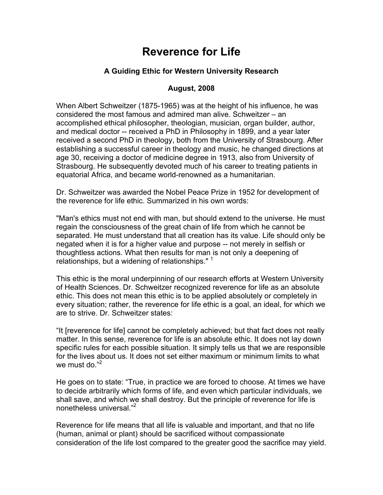## **Reverence for Life**

## **A Guiding Ethic for Western University Research**

## **August, 2008**

When Albert Schweitzer (1875-1965) was at the height of his influence, he was considered the most famous and admired man alive. Schweitzer – an accomplished ethical philosopher, theologian, musician, organ builder, author, and medical doctor -- received a PhD in Philosophy in 1899, and a year later received a second PhD in theology, both from the University of Strasbourg. After establishing a successful career in theology and music, he changed directions at age 30, receiving a doctor of medicine degree in 1913, also from University of Strasbourg. He subsequently devoted much of his career to treating patients in equatorial Africa, and became world-renowned as a humanitarian.

Dr. Schweitzer was awarded the Nobel Peace Prize in 1952 for development of the reverence for life ethic. Summarized in his own words:

"Man's ethics must not end with man, but should extend to the universe. He must regain the consciousness of the great chain of life from which he cannot be separated. He must understand that all creation has its value. Life should only be negated when it is for a higher value and purpose -- not merely in selfish or thoughtless actions. What then results for man is not only a deepening of relationships, but a widening of relationships."  $1$ 

This ethic is the moral underpinning of our research efforts at Western University of Health Sciences. Dr. Schweitzer recognized reverence for life as an absolute ethic. This does not mean this ethic is to be applied absolutely or completely in every situation; rather, the reverence for life ethic is a goal, an ideal, for which we are to strive. Dr. Schweitzer states:

"It [reverence for life] cannot be completely achieved; but that fact does not really matter. In this sense, reverence for life is an absolute ethic. It does not lay down specific rules for each possible situation. It simply tells us that we are responsible for the lives about us. It does not set either maximum or minimum limits to what we must do."<sup>2</sup>

He goes on to state: "True, in practice we are forced to choose. At times we have to decide arbitrarily which forms of life, and even which particular individuals, we shall save, and which we shall destroy. But the principle of reverence for life is nonetheless universal."<sup>2</sup>

Reverence for life means that all life is valuable and important, and that no life (human, animal or plant) should be sacrificed without compassionate consideration of the life lost compared to the greater good the sacrifice may yield.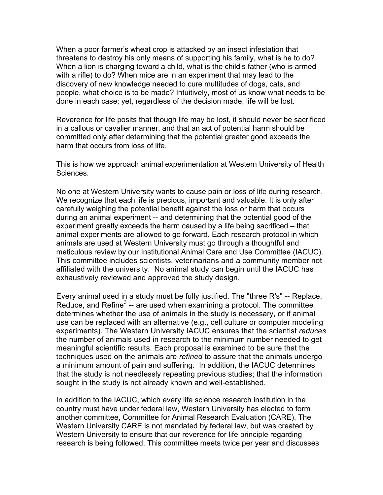When a poor farmer's wheat crop is attacked by an insect infestation that threatens to destroy his only means of supporting his family, what is he to do? When a lion is charging toward a child, what is the child's father (who is armed with a rifle) to do? When mice are in an experiment that may lead to the discovery of new knowledge needed to cure multitudes of dogs, cats, and people, what choice is to be made? Intuitively, most of us know what needs to be done in each case; yet, regardless of the decision made, life will be lost.

Reverence for life posits that though life may be lost, it should never be sacrificed in a callous or cavalier manner, and that an act of potential harm should be committed only after determining that the potential greater good exceeds the harm that occurs from loss of life.

This is how we approach animal experimentation at Western University of Health Sciences.

No one at Western University wants to cause pain or loss of life during research. We recognize that each life is precious, important and valuable. It is only after carefully weighing the potential benefit against the loss or harm that occurs during an animal experiment -- and determining that the potential good of the experiment greatly exceeds the harm caused by a life being sacrificed – that animal experiments are allowed to go forward. Each research protocol in which animals are used at Western University must go through a thoughtful and meticulous review by our Institutional Animal Care and Use Committee (IACUC). This committee includes scientists, veterinarians and a community member not affiliated with the university. No animal study can begin until the IACUC has exhaustively reviewed and approved the study design.

Every animal used in a study must be fully justified. The "three R's" -- Replace, Reduce, and Refine<sup>3</sup> -- are used when examining a protocol. The committee determines whether the use of animals in the study is necessary, or if animal use can be replaced with an alternative (e.g., cell culture or computer modeling experiments). The Western University IACUC ensures that the scientist *reduces* the number of animals used in research to the minimum number needed to get meaningful scientific results. Each proposal is examined to be sure that the techniques used on the animals are *refined* to assure that the animals undergo a minimum amount of pain and suffering. In addition, the IACUC determines that the study is not needlessly repeating previous studies; that the information sought in the study is not already known and well-established.

In addition to the IACUC, which every life science research institution in the country must have under federal law, Western University has elected to form another committee, Committee for Animal Research Evaluation (CARE). The Western University CARE is not mandated by federal law, but was created by Western University to ensure that our reverence for life principle regarding research is being followed. This committee meets twice per year and discusses